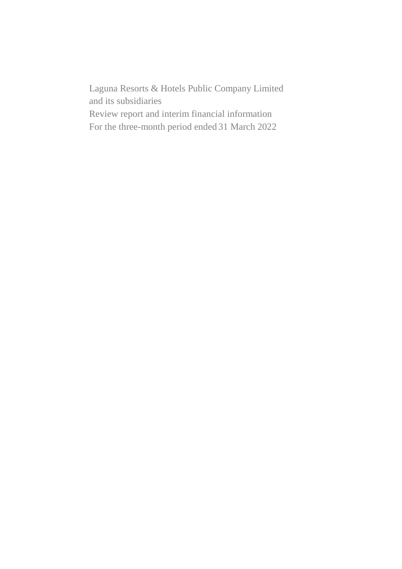Laguna Resorts & Hotels Public Company Limited and its subsidiaries Review report and interim financial information For the three-month period ended 31 March 2022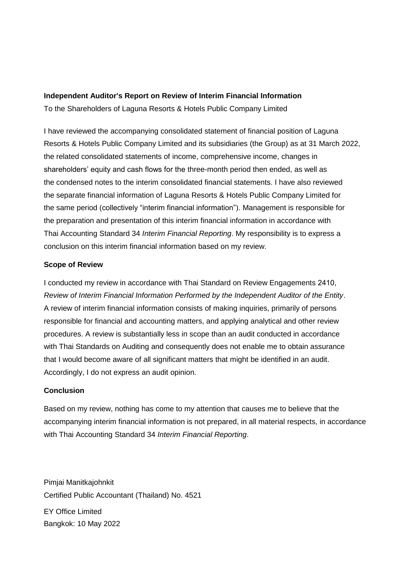#### **Independent Auditor's Report on Review of Interim Financial Information**

To the Shareholders of Laguna Resorts & Hotels Public Company Limited

I have reviewed the accompanying consolidated statement of financial position of Laguna Resorts & Hotels Public Company Limited and its subsidiaries (the Group) as at 31 March 2022, the related consolidated statements of income, comprehensive income, changes in shareholders' equity and cash flows for the three-month period then ended, as well as the condensed notes to the interim consolidated financial statements. I have also reviewed the separate financial information of Laguna Resorts & Hotels Public Company Limited for the same period (collectively "interim financial information"). Management is responsible for the preparation and presentation of this interim financial information in accordance with Thai Accounting Standard 34 *Interim Financial Reporting*. My responsibility is to express a conclusion on this interim financial information based on my review.

#### **Scope of Review**

I conducted my review in accordance with Thai Standard on Review Engagements 2410, *Review of Interim Financial Information Performed by the Independent Auditor of the Entity*. A review of interim financial information consists of making inquiries, primarily of persons responsible for financial and accounting matters, and applying analytical and other review procedures. A review is substantially less in scope than an audit conducted in accordance with Thai Standards on Auditing and consequently does not enable me to obtain assurance that I would become aware of all significant matters that might be identified in an audit. Accordingly, I do not express an audit opinion.

### **Conclusion**

Based on my review, nothing has come to my attention that causes me to believe that the accompanying interim financial information is not prepared, in all material respects, in accordance with Thai Accounting Standard 34 *Interim Financial Reporting*.

Pimjai Manitkajohnkit Certified Public Accountant (Thailand) No. 4521 EY Office Limited

Bangkok: 10 May 2022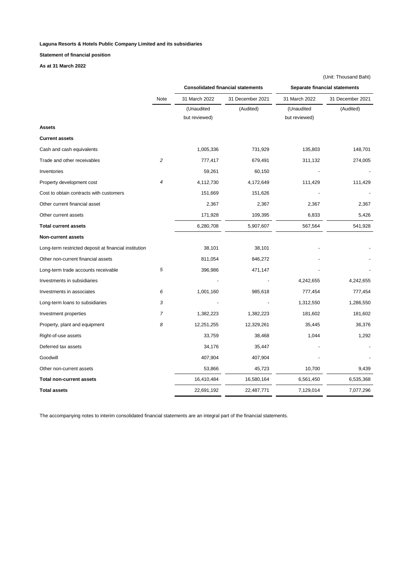#### **Statement of financial position**

**As at 31 March 2022**

|                                                       |                |               | <b>Consolidated financial statements</b> | Separate financial statements |                  |
|-------------------------------------------------------|----------------|---------------|------------------------------------------|-------------------------------|------------------|
|                                                       | Note           | 31 March 2022 | 31 December 2021                         | 31 March 2022                 | 31 December 2021 |
|                                                       |                | (Unaudited    | (Audited)                                | (Unaudited                    | (Audited)        |
|                                                       |                | but reviewed) |                                          | but reviewed)                 |                  |
| <b>Assets</b>                                         |                |               |                                          |                               |                  |
| <b>Current assets</b>                                 |                |               |                                          |                               |                  |
| Cash and cash equivalents                             |                | 1,005,336     | 731,929                                  | 135,803                       | 148,701          |
| Trade and other receivables                           | $\overline{c}$ | 777,417       | 679,491                                  | 311,132                       | 274,005          |
| Inventories                                           |                | 59,261        | 60,150                                   |                               |                  |
| Property development cost                             | 4              | 4,112,730     | 4,172,649                                | 111,429                       | 111,429          |
| Cost to obtain contracts with customers               |                | 151,669       | 151,626                                  |                               |                  |
| Other current financial asset                         |                | 2,367         | 2,367                                    | 2,367                         | 2,367            |
| Other current assets                                  |                | 171,928       | 109,395                                  | 6,833                         | 5,426            |
| <b>Total current assets</b>                           |                | 6,280,708     | 5,907,607                                | 567,564                       | 541,928          |
| <b>Non-current assets</b>                             |                |               |                                          |                               |                  |
| Long-term restricted deposit at financial institution |                | 38,101        | 38,101                                   |                               |                  |
| Other non-current financial assets                    |                | 811,054       | 846,272                                  |                               |                  |
| Long-term trade accounts receivable                   | 5              | 396,986       | 471,147                                  |                               |                  |
| Investments in subsidiaries                           |                |               |                                          | 4,242,655                     | 4,242,655        |
| Investments in associates                             | 6              | 1,001,160     | 985,618                                  | 777,454                       | 777,454          |
| Long-term loans to subsidiaries                       | 3              |               |                                          | 1,312,550                     | 1,286,550        |
| Investment properties                                 | $\overline{7}$ | 1,382,223     | 1,382,223                                | 181,602                       | 181,602          |
| Property, plant and equipment                         | 8              | 12,251,255    | 12,329,261                               | 35,445                        | 36,376           |
| Right-of-use assets                                   |                | 33,759        | 38,468                                   | 1,044                         | 1,292            |
| Deferred tax assets                                   |                | 34,176        | 35,447                                   |                               |                  |
| Goodwill                                              |                | 407,904       | 407,904                                  |                               |                  |
| Other non-current assets                              |                | 53,866        | 45,723                                   | 10,700                        | 9,439            |
| Total non-current assets                              |                | 16,410,484    | 16,580,164                               | 6,561,450                     | 6,535,368        |
| <b>Total assets</b>                                   |                | 22,691,192    | 22,487,771                               | 7,129,014                     | 7,077,296        |

The accompanying notes to interim consolidated financial statements are an integral part of the financial statements.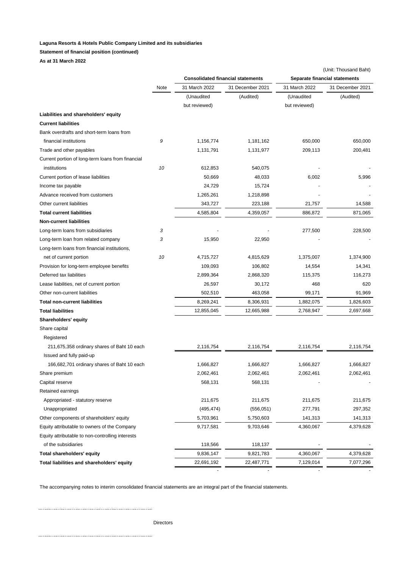#### **Statement of financial position (continued)**

**As at 31 March 2022**

|                                                   |      |               |                                          |                               | (Unit: Thousand Baht) |  |
|---------------------------------------------------|------|---------------|------------------------------------------|-------------------------------|-----------------------|--|
|                                                   |      |               | <b>Consolidated financial statements</b> | Separate financial statements |                       |  |
|                                                   | Note | 31 March 2022 | 31 December 2021                         | 31 March 2022                 | 31 December 2021      |  |
|                                                   |      | (Unaudited    | (Audited)                                | (Unaudited                    | (Audited)             |  |
|                                                   |      | but reviewed) |                                          | but reviewed)                 |                       |  |
| Liabilities and shareholders' equity              |      |               |                                          |                               |                       |  |
| <b>Current liabilities</b>                        |      |               |                                          |                               |                       |  |
| Bank overdrafts and short-term loans from         |      |               |                                          |                               |                       |  |
| financial institutions                            | 9    | 1,156,774     | 1,181,162                                | 650,000                       | 650,000               |  |
| Trade and other payables                          |      | 1,131,791     | 1,131,977                                | 209,113                       | 200,481               |  |
| Current portion of long-term loans from financial |      |               |                                          |                               |                       |  |
| institutions                                      | 10   | 612,853       | 540,075                                  |                               |                       |  |
| Current portion of lease liabilities              |      | 50,669        | 48,033                                   | 6,002                         | 5,996                 |  |
| Income tax payable                                |      | 24,729        | 15,724                                   |                               |                       |  |
| Advance received from customers                   |      | 1,265,261     | 1,218,898                                |                               |                       |  |
| Other current liabilities                         |      | 343,727       | 223,188                                  | 21,757                        | 14,588                |  |
| <b>Total current liabilities</b>                  |      | 4,585,804     | 4,359,057                                | 886,872                       | 871,065               |  |
| <b>Non-current liabilities</b>                    |      |               |                                          |                               |                       |  |
| Long-term loans from subsidiaries                 | 3    |               |                                          | 277,500                       | 228,500               |  |
| Long-term loan from related company               | 3    | 15,950        | 22,950                                   |                               |                       |  |
| Long-term loans from financial institutions,      |      |               |                                          |                               |                       |  |
| net of current portion                            | 10   | 4,715,727     | 4,815,629                                | 1,375,007                     | 1,374,900             |  |
| Provision for long-term employee benefits         |      | 109,093       | 106,802                                  | 14,554                        | 14,341                |  |
| Deferred tax liabilities                          |      | 2,899,364     | 2,868,320                                | 115,375                       | 116,273               |  |
| Lease liabilities, net of current portion         |      | 26,597        | 30,172                                   | 468                           | 620                   |  |
| Other non-current liabilities                     |      | 502,510       | 463,058                                  | 99,171                        | 91,969                |  |
| <b>Total non-current liabilities</b>              |      | 8,269,241     | 8,306,931                                | 1,882,075                     | 1,826,603             |  |
| <b>Total liabilities</b>                          |      | 12,855,045    | 12,665,988                               | 2,768,947                     | 2,697,668             |  |
| <b>Shareholders' equity</b>                       |      |               |                                          |                               |                       |  |
| Share capital                                     |      |               |                                          |                               |                       |  |
| Registered                                        |      |               |                                          |                               |                       |  |
| 211,675,358 ordinary shares of Baht 10 each       |      | 2,116,754     | 2,116,754                                | 2,116,754                     | 2,116,754             |  |
| Issued and fully paid-up                          |      |               |                                          |                               |                       |  |
| 166,682,701 ordinary shares of Baht 10 each       |      | 1,666,827     | 1,666,827                                | 1,666,827                     | 1,666,827             |  |
| Share premium                                     |      | 2,062,461     | 2,062,461                                | 2,062,461                     | 2,062,461             |  |
| Capital reserve                                   |      | 568,131       | 568,131                                  |                               |                       |  |
| Retained earnings                                 |      |               |                                          |                               |                       |  |
| Appropriated - statutory reserve                  |      | 211,675       | 211,675                                  | 211,675                       | 211,675               |  |
| Unappropriated                                    |      | (495, 474)    | (556, 051)                               | 277,791                       | 297,352               |  |
| Other components of shareholders' equity          |      | 5,703,961     | 5,750,603                                | 141,313                       | 141,313               |  |
| Equity attributable to owners of the Company      |      | 9,717,581     | 9,703,646                                | 4,360,067                     | 4,379,628             |  |
| Equity attributable to non-controlling interests  |      |               |                                          |                               |                       |  |
| of the subsidiaries                               |      | 118,566       | 118,137                                  |                               |                       |  |
| Total shareholders' equity                        |      | 9,836,147     | 9,821,783                                | 4,360,067                     | 4,379,628             |  |
| Total liabilities and shareholders' equity        |      | 22,691,192    | 22,487,771                               | 7,129,014                     | 7,077,296             |  |

- - - -

The accompanying notes to interim consolidated financial statements are an integral part of the financial statements.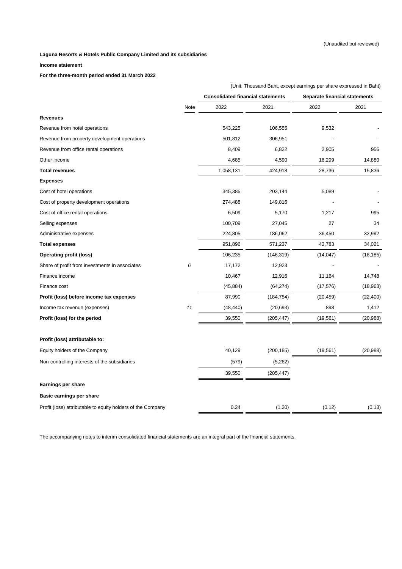#### **Income statement**

#### **For the three-month period ended 31 March 2022**

|                                                             |      | (Unit: Thousand Baht, except earnings per share expressed in Baht) |            |                               |           |  |  |  |
|-------------------------------------------------------------|------|--------------------------------------------------------------------|------------|-------------------------------|-----------|--|--|--|
|                                                             |      | <b>Consolidated financial statements</b>                           |            | Separate financial statements |           |  |  |  |
|                                                             | Note | 2022                                                               | 2021       | 2022                          | 2021      |  |  |  |
| <b>Revenues</b>                                             |      |                                                                    |            |                               |           |  |  |  |
| Revenue from hotel operations                               |      | 543,225                                                            | 106,555    | 9,532                         |           |  |  |  |
| Revenue from property development operations                |      | 501,812                                                            | 306,951    |                               |           |  |  |  |
| Revenue from office rental operations                       |      | 8,409                                                              | 6,822      | 2,905                         | 956       |  |  |  |
| Other income                                                |      | 4,685                                                              | 4,590      | 16,299                        | 14,880    |  |  |  |
| <b>Total revenues</b>                                       |      | 1,058,131                                                          | 424,918    | 28,736                        | 15,836    |  |  |  |
| <b>Expenses</b>                                             |      |                                                                    |            |                               |           |  |  |  |
| Cost of hotel operations                                    |      | 345,385                                                            | 203,144    | 5,089                         |           |  |  |  |
| Cost of property development operations                     |      | 274,488                                                            | 149,816    |                               |           |  |  |  |
| Cost of office rental operations                            |      | 6,509                                                              | 5,170      | 1,217                         | 995       |  |  |  |
| Selling expenses                                            |      | 100,709                                                            | 27,045     | 27                            | 34        |  |  |  |
| Administrative expenses                                     |      | 224,805                                                            | 186,062    | 36,450                        | 32,992    |  |  |  |
| <b>Total expenses</b>                                       |      | 951,896                                                            | 571,237    | 42,783                        | 34,021    |  |  |  |
| <b>Operating profit (loss)</b>                              |      | 106,235                                                            | (146, 319) | (14, 047)                     | (18, 185) |  |  |  |
| Share of profit from investments in associates              | 6    | 17,172                                                             | 12,923     |                               |           |  |  |  |
| Finance income                                              |      | 10,467                                                             | 12,916     | 11,164                        | 14,748    |  |  |  |
| Finance cost                                                |      | (45, 884)                                                          | (64, 274)  | (17, 576)                     | (18, 963) |  |  |  |
| Profit (loss) before income tax expenses                    |      | 87,990                                                             | (184, 754) | (20, 459)                     | (22, 400) |  |  |  |
| Income tax revenue (expenses)                               | 11   | (48, 440)                                                          | (20, 693)  | 898                           | 1,412     |  |  |  |
| Profit (loss) for the period                                |      | 39,550                                                             | (205, 447) | (19, 561)                     | (20, 988) |  |  |  |
| Profit (loss) attributable to:                              |      |                                                                    |            |                               |           |  |  |  |
| Equity holders of the Company                               |      | 40,129                                                             | (200, 185) | (19, 561)                     | (20, 988) |  |  |  |
| Non-controlling interests of the subsidiaries               |      | (579)                                                              | (5,262)    |                               |           |  |  |  |
|                                                             |      | 39,550                                                             | (205, 447) |                               |           |  |  |  |
| Earnings per share                                          |      |                                                                    |            |                               |           |  |  |  |
| Basic earnings per share                                    |      |                                                                    |            |                               |           |  |  |  |
| Profit (loss) attributable to equity holders of the Company |      | 0.24                                                               | (1.20)     | (0.12)                        | (0.13)    |  |  |  |

The accompanying notes to interim consolidated financial statements are an integral part of the financial statements.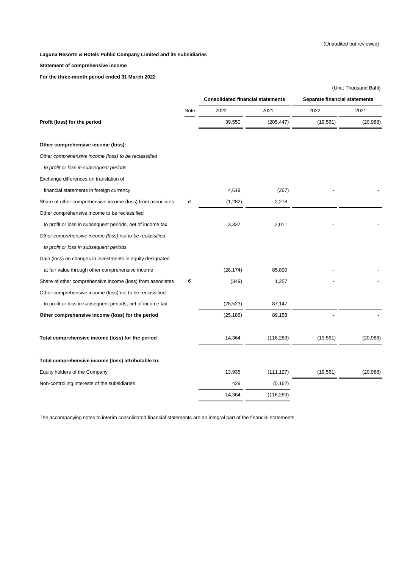(Unaudited but reviewed)

**Laguna Resorts & Hotels Public Company Limited and its subsidiaries**

#### **Statement of comprehensive income**

**For the three-month period ended 31 March 2022**

|                                                            |      |                                          |            | (Unit: Thousand Baht)         |           |  |  |
|------------------------------------------------------------|------|------------------------------------------|------------|-------------------------------|-----------|--|--|
|                                                            |      | <b>Consolidated financial statements</b> |            | Separate financial statements |           |  |  |
|                                                            | Note | 2022                                     | 2021       | 2022                          | 2021      |  |  |
| Profit (loss) for the period                               |      | 39,550                                   | (205, 447) | (19, 561)                     | (20, 988) |  |  |
| Other comprehensive income (loss):                         |      |                                          |            |                               |           |  |  |
| Other comprehensive income (loss) to be reclassified       |      |                                          |            |                               |           |  |  |
| to profit or loss in subsequent periods                    |      |                                          |            |                               |           |  |  |
| Exchange differences on translation of                     |      |                                          |            |                               |           |  |  |
| financial statements in foreign currency                   |      | 4,619                                    | (267)      |                               |           |  |  |
| Share of other comprehensive income (loss) from associates | 6    | (1,282)                                  | 2,278      |                               |           |  |  |
| Other comprehensive income to be reclassified              |      |                                          |            |                               |           |  |  |
| to profit or loss in subsequent periods, net of income tax |      | 3,337                                    | 2,011      |                               |           |  |  |
| Other comprehensive income (loss) not to be reclassified   |      |                                          |            |                               |           |  |  |
| to profit or loss in subsequent periods                    |      |                                          |            |                               |           |  |  |
| Gain (loss) on changes in investments in equity designated |      |                                          |            |                               |           |  |  |
| at fair value through other comprehensive income           |      | (28, 174)                                | 85,890     |                               |           |  |  |
| Share of other comprehensive income (loss) from associates | 6    | (349)                                    | 1,257      |                               |           |  |  |
| Other comprehensive income (loss) not to be reclassified   |      |                                          |            |                               |           |  |  |
| to profit or loss in subsequent periods, net of income tax |      | (28, 523)                                | 87,147     |                               |           |  |  |
| Other comprehensive income (loss) for the period           |      | (25, 186)                                | 89,158     |                               |           |  |  |
| Total comprehensive income (loss) for the period           |      | 14,364                                   | (116, 289) | (19, 561)                     | (20, 988) |  |  |
|                                                            |      |                                          |            |                               |           |  |  |
| Total comprehensive income (loss) attributable to:         |      |                                          |            |                               |           |  |  |
| Equity holders of the Company                              |      | 13,935                                   | (111, 127) | (19, 561)                     | (20, 988) |  |  |
| Non-controlling interests of the subsidiaries              |      | 429                                      | (5, 162)   |                               |           |  |  |
|                                                            |      | 14,364                                   | (116, 289) |                               |           |  |  |

The accompanying notes to interim consolidated financial statements are an integral part of the financial statements.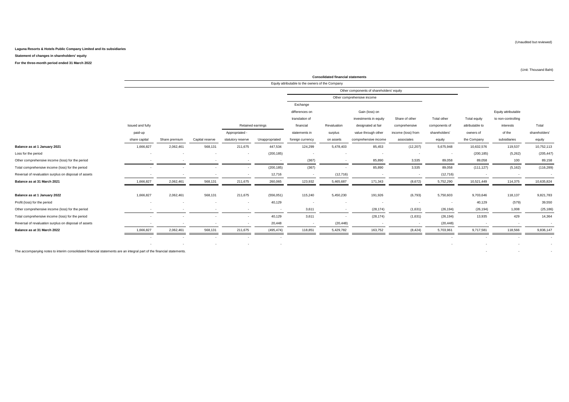#### **Statement of changes in shareholders' equity**

**For the three-month period ended 31 March 2022**

|                                                                                                                       |                          | <b>Consolidated financial statements</b> |                          |                          |                |                                                  |                          |                                          |                          |                          |                 |                          |                          |
|-----------------------------------------------------------------------------------------------------------------------|--------------------------|------------------------------------------|--------------------------|--------------------------|----------------|--------------------------------------------------|--------------------------|------------------------------------------|--------------------------|--------------------------|-----------------|--------------------------|--------------------------|
|                                                                                                                       |                          |                                          |                          |                          |                | Equity attributable to the owners of the Company |                          |                                          |                          |                          |                 |                          |                          |
|                                                                                                                       |                          |                                          |                          |                          |                |                                                  |                          | Other components of shareholders' equity |                          |                          |                 |                          |                          |
|                                                                                                                       |                          |                                          |                          |                          |                |                                                  |                          | Other comprehensive income               |                          |                          |                 |                          |                          |
|                                                                                                                       |                          |                                          |                          |                          |                | Exchange                                         |                          |                                          |                          |                          |                 |                          |                          |
|                                                                                                                       |                          |                                          |                          |                          |                | differences on                                   |                          | Gain (loss) on                           |                          |                          |                 | Equity attributable      |                          |
|                                                                                                                       |                          |                                          |                          |                          |                | translation of                                   |                          | investments in equity                    | Share of other           | Total other              | Total equity    | to non-controlling       |                          |
|                                                                                                                       | Issued and fully         |                                          |                          | Retained earnings        |                | financial                                        | Revaluation              | designated at fair                       | comprehensive            | components of            | attributable to | interests                | Total                    |
|                                                                                                                       | paid-up                  |                                          |                          | Appropriated -           |                | statements in                                    | surplus                  | value through other                      | income (loss) from       | shareholders'            | owners of       | of the                   | shareholders'            |
|                                                                                                                       | share capital            | Share premium                            | Capital reserve          | statutory reserve        | Unappropriated | foreign currency                                 | on assets                | comprehensive income                     | associates               | equity                   | the Company     | subsidiaries             | equity                   |
| Balance as at 1 January 2021                                                                                          | 1,666,827                | 2,062,461                                | 568,131                  | 211,675                  | 447,534        | 124,299                                          | 5,478,403                | 85,453                                   | (12, 207)                | 5,675,948                | 10,632,576      | 119,537                  | 10,752,113               |
| Loss for the period                                                                                                   |                          |                                          |                          |                          | (200, 185)     |                                                  |                          |                                          |                          | $\overline{\phantom{a}}$ | (200, 185)      | (5,262)                  | (205, 447)               |
| Other comprehensive income (loss) for the period                                                                      | $\sim$                   | $\overline{\phantom{a}}$                 | $\overline{\phantom{a}}$ | $\sim$                   |                | (367)                                            |                          | 85,890                                   | 3,535                    | 89,058                   | 89,058          | 100                      | 89,158                   |
| Total comprehensive income (loss) for the period                                                                      |                          | $\overline{\phantom{a}}$                 | $\sim$                   | $\sim$                   | (200, 185)     | (367)                                            |                          | 85,890                                   | 3,535                    | 89,058                   | (111, 127)      | (5, 162)                 | (116, 289)               |
| Reversal of revaluation surplus on disposal of assets                                                                 | $\overline{\phantom{a}}$ | $\overline{\phantom{a}}$                 | $\sim$                   | $\sim$                   | 12,716         | $\sim$                                           | (12, 716)                | $\sim$                                   | $\overline{\phantom{a}}$ | (12, 716)                |                 | $\sim$                   | $\sim$                   |
| Balance as at 31 March 2021                                                                                           | 1,666,827                | 2,062,461                                | 568,131                  | 211,675                  | 260,065        | 123,932                                          | 5,465,687                | 171,343                                  | (8,672)                  | 5,752,290                | 10,521,449      | 114,375                  | 10,635,824               |
| Balance as at 1 January 2022                                                                                          | 1,666,827                | 2,062,461                                | 568,131                  | 211,675                  | (556, 051)     | 115,240                                          | 5,450,230                | 191,926                                  | (6, 793)                 | 5,750,603                | 9,703,646       | 118,137                  | 9,821,783                |
| Profit (loss) for the period                                                                                          | $\overline{\phantom{a}}$ | $\overline{\phantom{a}}$                 | $\overline{\phantom{a}}$ | $\overline{\phantom{a}}$ | 40,129         | $\sim$                                           | $\overline{\phantom{a}}$ | $\sim$                                   | $\sim$                   | $\overline{\phantom{a}}$ | 40,129          | (579)                    | 39,550                   |
| Other comprehensive income (loss) for the period                                                                      |                          |                                          | $\overline{\phantom{a}}$ | $\overline{\phantom{a}}$ |                | 3,611                                            |                          | (28, 174)                                | (1,631)                  | (26, 194)                | (26, 194)       | 1,008                    | (25, 186)                |
| Total comprehensive income (loss) for the period                                                                      |                          | $\overline{\phantom{a}}$                 | $\overline{\phantom{a}}$ | $\overline{\phantom{a}}$ | 40,129         | 3,611                                            |                          | (28, 174)                                | (1,631)                  | (26, 194)                | 13,935          | 429                      | 14,364                   |
| Reversal of revaluation surplus on disposal of assets                                                                 | $\overline{\phantom{a}}$ | $\overline{\phantom{a}}$                 |                          |                          | 20,448         | $\sim$                                           | (20, 448)                |                                          | $\overline{\phantom{a}}$ | (20, 448)                |                 | $\overline{\phantom{a}}$ | $\overline{\phantom{a}}$ |
| Balance as at 31 March 2022                                                                                           | 1,666,827                | 2,062,461                                | 568,131                  | 211,675                  | (495, 474)     | 118,851                                          | 5,429,782                | 163,752                                  | (8, 424)                 | 5,703,961                | 9,717,581       | 118,566                  | 9,836,147                |
|                                                                                                                       |                          |                                          |                          | $\overline{\phantom{a}}$ |                |                                                  |                          |                                          |                          |                          |                 |                          |                          |
|                                                                                                                       |                          |                                          |                          |                          |                |                                                  |                          |                                          |                          |                          |                 |                          | $\overline{\phantom{a}}$ |
| The accompanying notes to interim consolidated financial statements are an integral part of the financial statements. |                          |                                          |                          |                          |                |                                                  |                          |                                          |                          |                          |                 | $\overline{\phantom{a}}$ | $\sim$                   |

(Unaudited but reviewed)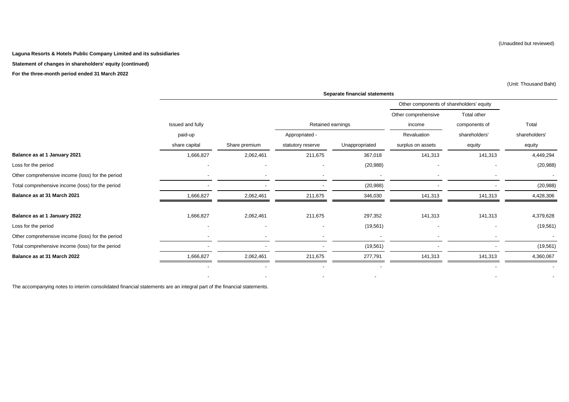**Statement of changes in shareholders' equity (continued)**

**For the three-month period ended 31 March 2022**

|                                                  |                          |                          |                          | Separate financial statements |                                          |                          |               |
|--------------------------------------------------|--------------------------|--------------------------|--------------------------|-------------------------------|------------------------------------------|--------------------------|---------------|
|                                                  |                          |                          |                          |                               | Other components of shareholders' equity |                          |               |
|                                                  |                          |                          |                          |                               | Other comprehensive                      | Total other              |               |
|                                                  | Issued and fully         |                          | Retained earnings        |                               | income                                   | components of            | Total         |
|                                                  | paid-up                  |                          | Appropriated -           |                               | Revaluation                              | shareholders'            | shareholders' |
|                                                  | share capital            | Share premium            | statutory reserve        | Unappropriated                | surplus on assets                        | equity                   | equity        |
| Balance as at 1 January 2021                     | 1,666,827                | 2,062,461                | 211,675                  | 367,018                       | 141,313                                  | 141,313                  | 4,449,294     |
| Loss for the period                              |                          |                          |                          | (20, 988)                     |                                          |                          | (20, 988)     |
| Other comprehensive income (loss) for the period |                          |                          |                          |                               |                                          |                          |               |
| Total comprehensive income (loss) for the period |                          |                          |                          | (20, 988)                     |                                          |                          | (20, 988)     |
| Balance as at 31 March 2021                      | 1,666,827                | 2,062,461                | 211,675                  | 346,030                       | 141,313                                  | 141,313                  | 4,428,306     |
| Balance as at 1 January 2022                     | 1,666,827                | 2,062,461                | 211,675                  | 297,352                       | 141,313                                  | 141,313                  | 4,379,628     |
| Loss for the period                              | $\overline{\phantom{a}}$ | $\overline{\phantom{a}}$ | $\overline{\phantom{a}}$ | (19, 561)                     | $\overline{\phantom{a}}$                 | $\overline{\phantom{a}}$ | (19, 561)     |
| Other comprehensive income (loss) for the period |                          |                          |                          |                               |                                          |                          |               |
| Total comprehensive income (loss) for the period |                          |                          |                          | (19, 561)                     |                                          |                          | (19, 561)     |
| Balance as at 31 March 2022                      | 1,666,827                | 2,062,461                | 211,675                  | 277,791                       | 141,313                                  | 141,313                  | 4,360,067     |
|                                                  | $\overline{\phantom{a}}$ | $\overline{\phantom{a}}$ | $\overline{\phantom{a}}$ |                               |                                          | $\overline{\phantom{a}}$ | $\sim$        |

- - - - - -

The accompanying notes to interim consolidated financial statements are an integral part of the financial statements.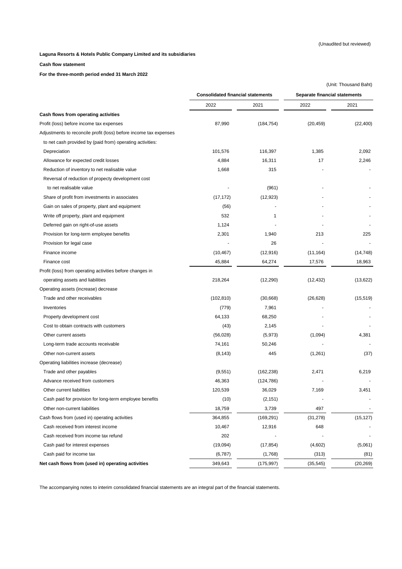#### **Cash flow statement**

**For the three-month period ended 31 March 2022**

|                                                                   |                                          |              |                               | (Unit: Thousand Baht) |
|-------------------------------------------------------------------|------------------------------------------|--------------|-------------------------------|-----------------------|
|                                                                   | <b>Consolidated financial statements</b> |              | Separate financial statements |                       |
|                                                                   | 2022                                     | 2021         | 2022                          | 2021                  |
| Cash flows from operating activities                              |                                          |              |                               |                       |
| Profit (loss) before income tax expenses                          | 87,990                                   | (184, 754)   | (20, 459)                     | (22, 400)             |
| Adjustments to reconcile profit (loss) before income tax expenses |                                          |              |                               |                       |
| to net cash provided by (paid from) operating activities:         |                                          |              |                               |                       |
| Depreciation                                                      | 101,576                                  | 116,397      | 1,385                         | 2,092                 |
| Allowance for expected credit losses                              | 4,884                                    | 16,311       | 17                            | 2,246                 |
| Reduction of inventory to net realisable value                    | 1,668                                    | 315          |                               |                       |
| Reversal of reduction of propecty development cost                |                                          |              |                               |                       |
| to net realisable value                                           |                                          | (961)        |                               |                       |
| Share of profit from investments in associates                    | (17, 172)                                | (12, 923)    |                               |                       |
| Gain on sales of property, plant and equipment                    | (56)                                     |              |                               |                       |
| Write off property, plant and equipment                           | 532                                      | $\mathbf{1}$ |                               |                       |
| Deferred gain on right-of-use assets                              | 1,124                                    |              |                               |                       |
| Provision for long-term employee benefits                         | 2,301                                    | 1,940        | 213                           | 225                   |
| Provision for legal case                                          |                                          | 26           |                               |                       |
| Finance income                                                    | (10, 467)                                | (12, 916)    | (11, 164)                     | (14, 748)             |
| Finance cost                                                      | 45,884                                   | 64,274       | 17,576                        | 18,963                |
| Profit (loss) from operating activities before changes in         |                                          |              |                               |                       |
| operating assets and liabilities                                  | 218,264                                  | (12, 290)    | (12, 432)                     | (13, 622)             |
| Operating assets (increase) decrease                              |                                          |              |                               |                       |
| Trade and other receivables                                       | (102, 810)                               | (30,668)     | (26, 628)                     | (15, 519)             |
| Inventories                                                       | (779)                                    | 7,961        |                               |                       |
| Property development cost                                         | 64,133                                   | 68,250       |                               |                       |
| Cost to obtain contracts with customers                           | (43)                                     | 2,145        |                               |                       |
| Other current assets                                              | (56, 028)                                | (5,973)      | (1,094)                       | 4,381                 |
| Long-term trade accounts receivable                               | 74,161                                   | 50,246       |                               |                       |
| Other non-current assets                                          | (8, 143)                                 | 445          | (1,261)                       | (37)                  |
| Operating liabilities increase (decrease)                         |                                          |              |                               |                       |
| Trade and other payables                                          | (9,551)                                  | (162, 238)   | 2,471                         | 6,219                 |
| Advance received from customers                                   | 46.363                                   | (124, 786)   |                               |                       |
| Other current liabilities                                         | 120,539                                  | 36,029       | 7,169                         | 3,451                 |
| Cash paid for provision for long-term employee benefits           | (10)                                     | (2, 151)     |                               |                       |
| Other non-current liabilities                                     | 18,759                                   | 3,739        | 497                           |                       |
| Cash flows from (used in) operating activities                    | 364,855                                  | (169, 291)   | (31, 278)                     | (15, 127)             |
| Cash received from interest income                                | 10,467                                   | 12,916       | 648                           |                       |
| Cash received from income tax refund                              | 202                                      |              |                               |                       |
| Cash paid for interest expenses                                   | (19,094)                                 | (17, 854)    | (4,602)                       | (5,061)               |
| Cash paid for income tax                                          | (6,787)                                  | (1,768)      | (313)                         | (81)                  |
| Net cash flows from (used in) operating activities                | 349,643                                  | (175, 997)   | (35, 545)                     | (20, 269)             |

The accompanying notes to interim consolidated financial statements are an integral part of the financial statements.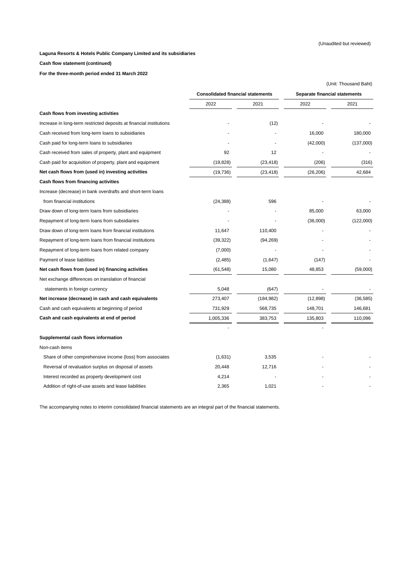#### **Cash flow statement (continued)**

**For the three-month period ended 31 March 2022**

|                                                                     |                                          |            |                               | (Unit: Thousand Baht) |
|---------------------------------------------------------------------|------------------------------------------|------------|-------------------------------|-----------------------|
|                                                                     | <b>Consolidated financial statements</b> |            | Separate financial statements |                       |
|                                                                     | 2022                                     | 2021       | 2022                          | 2021                  |
| Cash flows from investing activities                                |                                          |            |                               |                       |
| Increase in long-term restricted deposits at financial institutions |                                          | (12)       |                               |                       |
| Cash received from long-term loans to subsidiaries                  |                                          |            | 16,000                        | 180,000               |
| Cash paid for long-term loans to subsidiaries                       |                                          |            | (42,000)                      | (137,000)             |
| Cash received from sales of property, plant and equipment           | 92                                       | 12         |                               |                       |
| Cash paid for acquisition of property, plant and equipment          | (19, 828)                                | (23, 418)  | (206)                         | (316)                 |
| Net cash flows from (used in) investing activities                  | (19,736)                                 | (23, 418)  | (26, 206)                     | 42,684                |
| Cash flows from financing activities                                |                                          |            |                               |                       |
| Increase (decrease) in bank overdrafts and short-term loans         |                                          |            |                               |                       |
| from financial institutions                                         | (24, 388)                                | 596        |                               |                       |
| Draw down of long-term loans from subsidiaries                      |                                          |            | 85,000                        | 63,000                |
| Repayment of long-term loans from subsidiaries                      |                                          |            | (36,000)                      | (122,000)             |
| Draw down of long-term loans from financial institutions            | 11,647                                   | 110,400    |                               |                       |
| Repayment of long-term loans from financial institutions            | (39, 322)                                | (94, 269)  |                               |                       |
| Repayment of long-term loans from related company                   | (7,000)                                  |            |                               |                       |
| Payment of lease liabilities                                        | (2,485)                                  | (1,647)    | (147)                         |                       |
| Net cash flows from (used in) financing activities                  | (61, 548)                                | 15,080     | 48,853                        | (59,000)              |
| Net exchange differences on translation of financial                |                                          |            |                               |                       |
| statements in foreign currency                                      | 5,048                                    | (647)      |                               |                       |
| Net increase (decrease) in cash and cash equivalents                | 273,407                                  | (184, 982) | (12, 898)                     | (36, 585)             |
| Cash and cash equivalents at beginning of period                    | 731,929                                  | 568,735    | 148,701                       | 146,681               |
| Cash and cash equivalents at end of period                          | 1,005,336                                | 383,753    | 135,803                       | 110,096               |
|                                                                     |                                          |            |                               |                       |
| Supplemental cash flows information                                 |                                          |            |                               |                       |
| Non-cash items                                                      |                                          |            |                               |                       |
| Share of other comprehensive income (loss) from associates          | (1,631)                                  | 3,535      |                               |                       |
| Reversal of revaluation surplus on disposal of assets               | 20,448                                   | 12,716     |                               |                       |
| Interest recorded as property development cost                      | 4,214                                    |            |                               |                       |
| Addition of right-of-use assets and lease liabilities               | 2,365                                    | 1,021      |                               |                       |

The accompanying notes to interim consolidated financial statements are an integral part of the financial statements.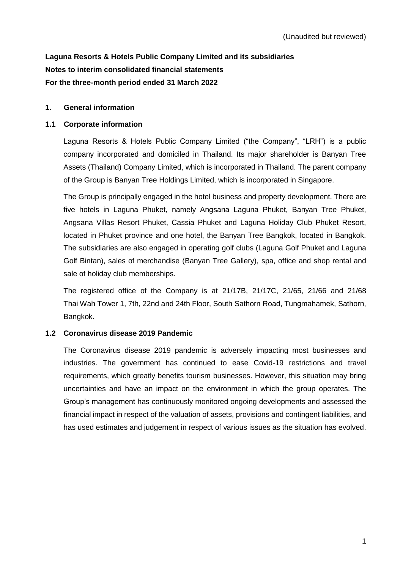# **Laguna Resorts & Hotels Public Company Limited and its subsidiaries Notes to interim consolidated financial statements For the three-month period ended 31 March 2022**

### **1. General information**

### **1.1 Corporate information**

Laguna Resorts & Hotels Public Company Limited ("the Company", "LRH") is a public company incorporated and domiciled in Thailand. Its major shareholder is Banyan Tree Assets (Thailand) Company Limited, which is incorporated in Thailand. The parent company of the Group is Banyan Tree Holdings Limited, which is incorporated in Singapore.

The Group is principally engaged in the hotel business and property development. There are five hotels in Laguna Phuket, namely Angsana Laguna Phuket, Banyan Tree Phuket, Angsana Villas Resort Phuket, Cassia Phuket and Laguna Holiday Club Phuket Resort, located in Phuket province and one hotel, the Banyan Tree Bangkok, located in Bangkok. The subsidiaries are also engaged in operating golf clubs (Laguna Golf Phuket and Laguna Golf Bintan), sales of merchandise (Banyan Tree Gallery), spa, office and shop rental and sale of holiday club memberships.

The registered office of the Company is at 21/17B, 21/17C, 21/65, 21/66 and 21/68 Thai Wah Tower 1, 7th, 22nd and 24th Floor, South Sathorn Road, Tungmahamek, Sathorn, Bangkok.

### **1.2 Coronavirus disease 2019 Pandemic**

The Coronavirus disease 2019 pandemic is adversely impacting most businesses and industries. The government has continued to ease Covid-19 restrictions and travel requirements, which greatly benefits tourism businesses. However, this situation may bring uncertainties and have an impact on the environment in which the group operates. The Group's management has continuously monitored ongoing developments and assessed the financial impact in respect of the valuation of assets, provisions and contingent liabilities, and has used estimates and judgement in respect of various issues as the situation has evolved.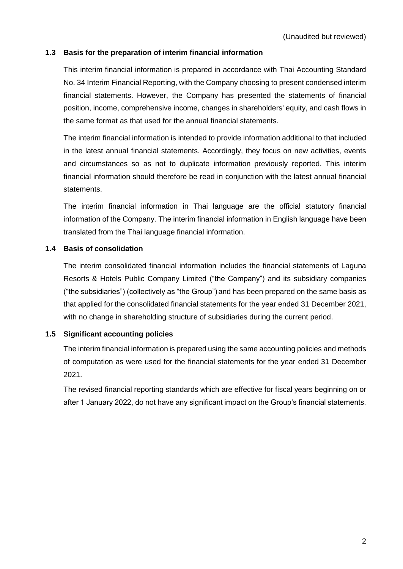### **1.3 Basis for the preparation of interim financial information**

This interim financial information is prepared in accordance with Thai Accounting Standard No. 34 Interim Financial Reporting, with the Company choosing to present condensed interim financial statements. However, the Company has presented the statements of financial position, income, comprehensive income, changes in shareholders' equity, and cash flows in the same format as that used for the annual financial statements.

The interim financial information is intended to provide information additional to that included in the latest annual financial statements. Accordingly, they focus on new activities, events and circumstances so as not to duplicate information previously reported. This interim financial information should therefore be read in conjunction with the latest annual financial statements.

The interim financial information in Thai language are the official statutory financial information of the Company. The interim financial information in English language have been translated from the Thai language financial information.

## **1.4 Basis of consolidation**

The interim consolidated financial information includes the financial statements of Laguna Resorts & Hotels Public Company Limited ("the Company") and its subsidiary companies ("the subsidiaries") (collectively as "the Group") and has been prepared on the same basis as that applied for the consolidated financial statements for the year ended 31 December 2021, with no change in shareholding structure of subsidiaries during the current period.

# **1.5 Significant accounting policies**

The interim financial information is prepared using the same accounting policies and methods of computation as were used for the financial statements for the year ended 31 December 2021.

The revised financial reporting standards which are effective for fiscal years beginning on or after 1 January 2022, do not have any significant impact on the Group's financial statements.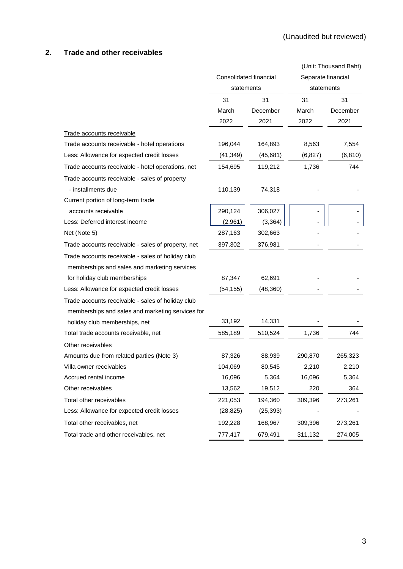# **2. Trade and other receivables**

|                                                    |                        |           |                    | (Unit: Thousand Baht) |
|----------------------------------------------------|------------------------|-----------|--------------------|-----------------------|
|                                                    | Consolidated financial |           | Separate financial |                       |
|                                                    | statements             |           | statements         |                       |
|                                                    | 31                     | 31        | 31                 | 31                    |
|                                                    | March                  | December  | March              | December              |
|                                                    | 2022                   | 2021      | 2022               | 2021                  |
| Trade accounts receivable                          |                        |           |                    |                       |
| Trade accounts receivable - hotel operations       | 196,044                | 164,893   | 8,563              | 7,554                 |
| Less: Allowance for expected credit losses         | (41, 349)              | (45, 681) | (6, 827)           | (6, 810)              |
| Trade accounts receivable - hotel operations, net  | 154,695                | 119,212   | 1,736              | 744                   |
| Trade accounts receivable - sales of property      |                        |           |                    |                       |
| - installments due                                 | 110,139                | 74,318    |                    |                       |
| Current portion of long-term trade                 |                        |           |                    |                       |
| accounts receivable                                | 290,124                | 306,027   |                    |                       |
| Less: Deferred interest income                     | (2,961)                | (3, 364)  |                    |                       |
| Net (Note 5)                                       | 287,163                | 302,663   |                    |                       |
| Trade accounts receivable - sales of property, net | 397,302                | 376,981   |                    |                       |
| Trade accounts receivable - sales of holiday club  |                        |           |                    |                       |
| memberships and sales and marketing services       |                        |           |                    |                       |
| for holiday club memberships                       | 87,347                 | 62,691    |                    |                       |
| Less: Allowance for expected credit losses         | (54, 155)              | (48, 360) |                    |                       |
| Trade accounts receivable - sales of holiday club  |                        |           |                    |                       |
| memberships and sales and marketing services for   |                        |           |                    |                       |
| holiday club memberships, net                      | 33,192                 | 14,331    |                    |                       |
| Total trade accounts receivable, net               | 585,189                | 510,524   | 1,736              | 744                   |
| Other receivables                                  |                        |           |                    |                       |
| Amounts due from related parties (Note 3)          | 87,326                 | 88,939    | 290,870            | 265,323               |
| Villa owner receivables                            | 104,069                | 80,545    | 2,210              | 2,210                 |
| Accrued rental income                              | 16,096                 | 5,364     | 16,096             | 5,364                 |
| Other receivables                                  | 13,562                 | 19,512    | 220                | 364                   |
| Total other receivables                            | 221,053                | 194,360   | 309,396            | 273,261               |
| Less: Allowance for expected credit losses         | (28, 825)              | (25, 393) |                    |                       |
| Total other receivables, net                       | 192,228                | 168,967   | 309,396            | 273,261               |
| Total trade and other receivables, net             | 777,417                | 679,491   | 311,132            | 274,005               |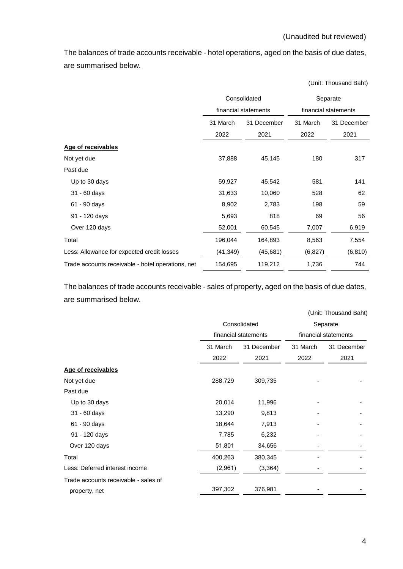The balances of trade accounts receivable - hotel operations, aged on the basis of due dates, are summarised below.

|                                                   |           |                      |                      | (Unit: Thousand Baht) |  |
|---------------------------------------------------|-----------|----------------------|----------------------|-----------------------|--|
|                                                   |           | Consolidated         | Separate             |                       |  |
|                                                   |           | financial statements | financial statements |                       |  |
|                                                   | 31 March  | 31 December          | 31 March             | 31 December           |  |
|                                                   | 2022      | 2021                 | 2022                 | 2021                  |  |
| Age of receivables                                |           |                      |                      |                       |  |
| Not yet due                                       | 37,888    | 45,145               | 180                  | 317                   |  |
| Past due                                          |           |                      |                      |                       |  |
| Up to 30 days                                     | 59,927    | 45,542               | 581                  | 141                   |  |
| 31 - 60 days                                      | 31,633    | 10,060               | 528                  | 62                    |  |
| 61 - 90 days                                      | 8,902     | 2,783                | 198                  | 59                    |  |
| 91 - 120 days                                     | 5,693     | 818                  | 69                   | 56                    |  |
| Over 120 days                                     | 52,001    | 60,545               | 7,007                | 6,919                 |  |
| Total                                             | 196,044   | 164,893              | 8,563                | 7,554                 |  |
| Less: Allowance for expected credit losses        | (41, 349) | (45,681)             | (6, 827)             | (6, 810)              |  |
| Trade accounts receivable - hotel operations, net | 154,695   | 119,212              | 1,736                | 744                   |  |

The balances of trade accounts receivable - sales of property, aged on the basis of due dates, are summarised below.

|                                      |                  |                      |                  | (Unit: Thousand Baht) |  |
|--------------------------------------|------------------|----------------------|------------------|-----------------------|--|
|                                      |                  | Consolidated         | Separate         |                       |  |
|                                      |                  | financial statements |                  | financial statements  |  |
|                                      | 31 March<br>2022 | 31 December<br>2021  | 31 March<br>2022 | 31 December<br>2021   |  |
| Age of receivables                   |                  |                      |                  |                       |  |
| Not yet due                          | 288,729          | 309,735              |                  |                       |  |
| Past due                             |                  |                      |                  |                       |  |
| Up to 30 days                        | 20,014           | 11,996               |                  |                       |  |
| 31 - 60 days                         | 13,290           | 9,813                |                  |                       |  |
| 61 - 90 days                         | 18,644           | 7,913                |                  |                       |  |
| 91 - 120 days                        | 7,785            | 6,232                |                  |                       |  |
| Over 120 days                        | 51,801           | 34,656               |                  |                       |  |
| Total                                | 400,263          | 380,345              |                  |                       |  |
| Less: Deferred interest income       | (2,961)          | (3, 364)             |                  |                       |  |
| Trade accounts receivable - sales of |                  |                      |                  |                       |  |
| property, net                        | 397,302          | 376,981              |                  |                       |  |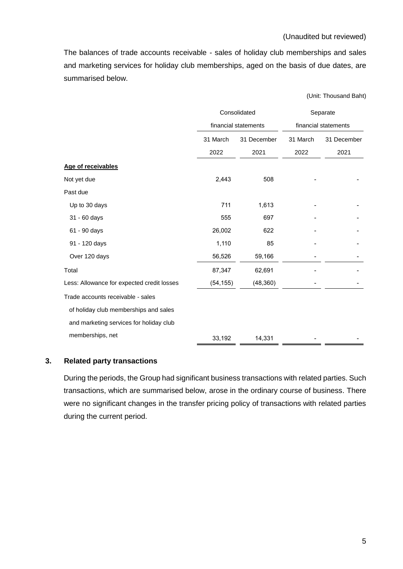The balances of trade accounts receivable - sales of holiday club memberships and sales and marketing services for holiday club memberships, aged on the basis of due dates, are summarised below.

|                                            |           | Consolidated         |          | Separate             |
|--------------------------------------------|-----------|----------------------|----------|----------------------|
|                                            |           | financial statements |          | financial statements |
|                                            | 31 March  | 31 December          | 31 March | 31 December          |
|                                            | 2022      | 2021                 | 2022     | 2021                 |
| Age of receivables                         |           |                      |          |                      |
| Not yet due                                | 2,443     | 508                  |          |                      |
| Past due                                   |           |                      |          |                      |
| Up to 30 days                              | 711       | 1,613                |          |                      |
| 31 - 60 days                               | 555       | 697                  |          |                      |
| 61 - 90 days                               | 26,002    | 622                  |          |                      |
| 91 - 120 days                              | 1,110     | 85                   |          |                      |
| Over 120 days                              | 56,526    | 59,166               |          |                      |
| Total                                      | 87,347    | 62,691               |          |                      |
| Less: Allowance for expected credit losses | (54, 155) | (48, 360)            |          |                      |
| Trade accounts receivable - sales          |           |                      |          |                      |
| of holiday club memberships and sales      |           |                      |          |                      |
| and marketing services for holiday club    |           |                      |          |                      |
| memberships, net                           | 33,192    | 14,331               |          |                      |

(Unit: Thousand Baht)

# **3. Related party transactions**

During the periods, the Group had significant business transactions with related parties. Such transactions, which are summarised below, arose in the ordinary course of business. There were no significant changes in the transfer pricing policy of transactions with related parties during the current period.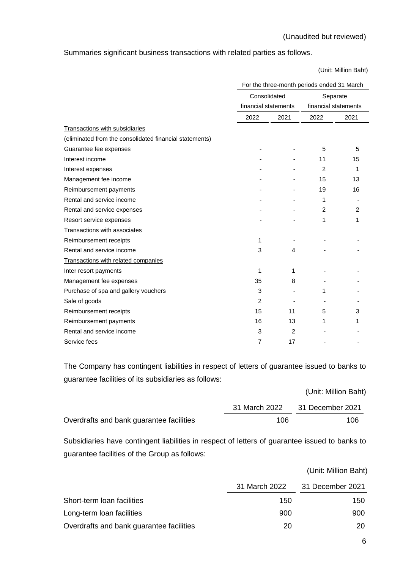(Unit: Million Baht)

Summaries significant business transactions with related parties as follows.

|                                                         | For the three-month periods ended 31 March |                |                      |      |
|---------------------------------------------------------|--------------------------------------------|----------------|----------------------|------|
|                                                         | Consolidated                               |                | Separate             |      |
|                                                         | financial statements                       |                | financial statements |      |
|                                                         | 2022                                       | 2021           | 2022                 | 2021 |
| Transactions with subsidiaries                          |                                            |                |                      |      |
| (eliminated from the consolidated financial statements) |                                            |                |                      |      |
| Guarantee fee expenses                                  |                                            |                | 5                    | 5    |
| Interest income                                         |                                            |                | 11                   | 15   |
| Interest expenses                                       |                                            |                | 2                    | 1    |
| Management fee income                                   |                                            |                | 15                   | 13   |
| Reimbursement payments                                  |                                            |                | 19                   | 16   |
| Rental and service income                               |                                            |                | 1                    |      |
| Rental and service expenses                             |                                            |                | 2                    | 2    |
| Resort service expenses                                 |                                            |                | 1                    | 1    |
| <b>Transactions with associates</b>                     |                                            |                |                      |      |
| Reimbursement receipts                                  | 1                                          |                |                      |      |
| Rental and service income                               | 3                                          | 4              |                      |      |
| Transactions with related companies                     |                                            |                |                      |      |
| Inter resort payments                                   | 1                                          | 1              |                      |      |
| Management fee expenses                                 | 35                                         | 8              |                      |      |
| Purchase of spa and gallery vouchers                    | 3                                          |                | 1                    |      |
| Sale of goods                                           | $\overline{2}$                             |                |                      |      |
| Reimbursement receipts                                  | 15                                         | 11             | 5                    | 3    |
| Reimbursement payments                                  | 16                                         | 13             | 1                    |      |
| Rental and service income                               | 3                                          | $\overline{2}$ |                      |      |
| Service fees                                            | 7                                          | 17             |                      |      |

The Company has contingent liabilities in respect of letters of guarantee issued to banks to guarantee facilities of its subsidiaries as follows:

|                                          |               | (Unit: Million Baht) |
|------------------------------------------|---------------|----------------------|
|                                          | 31 March 2022 | 31 December 2021     |
| Overdrafts and bank guarantee facilities | 106           | 106                  |

Subsidiaries have contingent liabilities in respect of letters of guarantee issued to banks to guarantee facilities of the Group as follows:

|                                          | 31 March 2022 | 31 December 2021 |
|------------------------------------------|---------------|------------------|
| Short-term loan facilities               | 150           | 150              |
| Long-term loan facilities                | 900           | 900              |
| Overdrafts and bank guarantee facilities | 20            | 20               |

(Unit: Million Baht)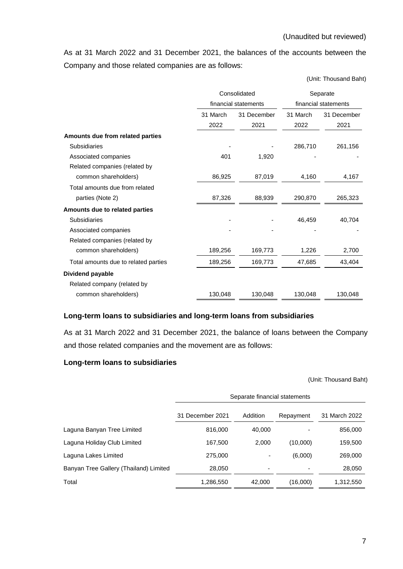As at 31 March 2022 and 31 December 2021, the balances of the accounts between the Company and those related companies are as follows:

|                                      |          |                      |          | (Unit: Thousand Baht) |  |  |
|--------------------------------------|----------|----------------------|----------|-----------------------|--|--|
|                                      |          | Consolidated         |          | Separate              |  |  |
|                                      |          | financial statements |          | financial statements  |  |  |
|                                      | 31 March | 31 December          | 31 March | 31 December           |  |  |
|                                      | 2022     | 2021                 | 2022     | 2021                  |  |  |
| Amounts due from related parties     |          |                      |          |                       |  |  |
| <b>Subsidiaries</b>                  |          |                      | 286,710  | 261,156               |  |  |
| Associated companies                 | 401      | 1,920                |          |                       |  |  |
| Related companies (related by        |          |                      |          |                       |  |  |
| common shareholders)                 | 86,925   | 87,019               | 4,160    | 4,167                 |  |  |
| Total amounts due from related       |          |                      |          |                       |  |  |
| parties (Note 2)                     | 87,326   | 88,939               | 290,870  | 265,323               |  |  |
| Amounts due to related parties       |          |                      |          |                       |  |  |
| <b>Subsidiaries</b>                  |          |                      | 46,459   | 40,704                |  |  |
| Associated companies                 |          |                      |          |                       |  |  |
| Related companies (related by        |          |                      |          |                       |  |  |
| common shareholders)                 | 189,256  | 169,773              | 1,226    | 2,700                 |  |  |
| Total amounts due to related parties | 189,256  | 169,773              | 47,685   | 43,404                |  |  |
| Dividend payable                     |          |                      |          |                       |  |  |
| Related company (related by          |          |                      |          |                       |  |  |
| common shareholders)                 | 130,048  | 130,048              | 130,048  | 130,048               |  |  |

### **Long-term loans to subsidiaries and long-term loans from subsidiaries**

As at 31 March 2022 and 31 December 2021, the balance of loans between the Company and those related companies and the movement are as follows:

### **Long-term loans to subsidiaries**

|                                        | Separate financial statements |          |           |               |  |  |  |
|----------------------------------------|-------------------------------|----------|-----------|---------------|--|--|--|
|                                        | 31 December 2021              | Addition | Repayment | 31 March 2022 |  |  |  |
| Laguna Banyan Tree Limited             | 816,000                       | 40,000   |           | 856,000       |  |  |  |
| Laguna Holiday Club Limited            | 167,500                       | 2.000    | (10,000)  | 159,500       |  |  |  |
| Laguna Lakes Limited                   | 275,000                       |          | (6,000)   | 269,000       |  |  |  |
| Banyan Tree Gallery (Thailand) Limited | 28,050                        |          |           | 28,050        |  |  |  |
| Total                                  | 1,286,550                     | 42,000   | (16,000)  | 1,312,550     |  |  |  |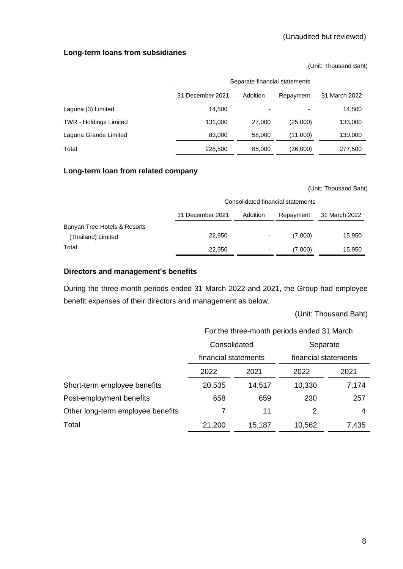### **Long-term loans from subsidiaries**

(Unit: Thousand Baht)

|                               | Separate financial statements |                          |           |               |  |  |
|-------------------------------|-------------------------------|--------------------------|-----------|---------------|--|--|
|                               | 31 December 2021              | Addition                 | Repayment | 31 March 2022 |  |  |
| Laguna (3) Limited            | 14,500                        | $\overline{\phantom{0}}$ |           | 14,500        |  |  |
| <b>TWR - Holdings Limited</b> | 131,000                       | 27,000                   | (25,000)  | 133,000       |  |  |
| Laguna Grande Limited         | 83,000                        | 58,000                   | (11,000)  | 130,000       |  |  |
| Total                         | 228,500                       | 85,000                   | (36,000)  | 277,500       |  |  |

### **Long-term loan from related company**

(Unit: Thousand Baht)

|                              | Consolidated financial statements |                |           |               |  |  |
|------------------------------|-----------------------------------|----------------|-----------|---------------|--|--|
|                              | 31 December 2021                  | Addition       | Repayment | 31 March 2022 |  |  |
| Banyan Tree Hotels & Resorts |                                   |                |           |               |  |  |
| (Thailand) Limited           | 22,950                            | $\blacksquare$ | (7,000)   | 15,950        |  |  |
| Total                        | 22,950                            | -              | (7,000)   | 15,950        |  |  |

### **Directors and management's benefits**

During the three-month periods ended 31 March 2022 and 2021, the Group had employee benefit expenses of their directors and management as below.

|                                   | For the three-month periods ended 31 March |        |                      |       |  |  |
|-----------------------------------|--------------------------------------------|--------|----------------------|-------|--|--|
|                                   | Consolidated                               |        | Separate             |       |  |  |
|                                   | financial statements                       |        | financial statements |       |  |  |
|                                   | 2022<br>2021                               |        | 2022                 | 2021  |  |  |
| Short-term employee benefits      | 20,535                                     | 14,517 | 10,330               | 7,174 |  |  |
| Post-employment benefits          | 658                                        | 659    | 230                  | 257   |  |  |
| Other long-term employee benefits |                                            | 11     | 2                    | 4     |  |  |
| Total                             | 21,200                                     | 15,187 | 10,562               | 7,435 |  |  |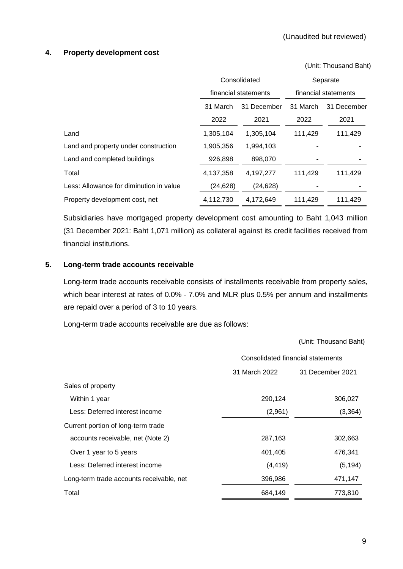## **4. Property development cost**

(Unit: Thousand Baht)

|                                         |              | Consolidated         | Separate<br>financial statements |             |  |
|-----------------------------------------|--------------|----------------------|----------------------------------|-------------|--|
|                                         |              | financial statements |                                  |             |  |
|                                         | 31 March     | 31 December          | 31 March                         | 31 December |  |
|                                         | 2022<br>2021 |                      | 2022                             | 2021        |  |
| Land                                    | 1,305,104    | 1,305,104            | 111,429                          | 111,429     |  |
| Land and property under construction    | 1,905,356    | 1,994,103            |                                  |             |  |
| Land and completed buildings            | 926,898      | 898,070              |                                  |             |  |
| Total                                   | 4,137,358    | 4,197,277            | 111,429                          | 111,429     |  |
| Less: Allowance for diminution in value | (24, 628)    | (24, 628)            |                                  |             |  |
| Property development cost, net          | 4,112,730    | 4,172,649            | 111,429                          | 111,429     |  |

Subsidiaries have mortgaged property development cost amounting to Baht 1,043 million (31 December 2021: Baht 1,071 million) as collateral against its credit facilities received from financial institutions.

### **5. Long-term trade accounts receivable**

Long-term trade accounts receivable consists of installments receivable from property sales, which bear interest at rates of 0.0% - 7.0% and MLR plus 0.5% per annum and installments are repaid over a period of 3 to 10 years.

Long-term trade accounts receivable are due as follows:

|                                          | Consolidated financial statements |                  |  |  |  |
|------------------------------------------|-----------------------------------|------------------|--|--|--|
|                                          | 31 March 2022                     | 31 December 2021 |  |  |  |
| Sales of property                        |                                   |                  |  |  |  |
| Within 1 year                            | 290,124                           | 306,027          |  |  |  |
| Less: Deferred interest income           | (2,961)                           | (3, 364)         |  |  |  |
| Current portion of long-term trade       |                                   |                  |  |  |  |
| accounts receivable, net (Note 2)        | 287,163                           | 302,663          |  |  |  |
| Over 1 year to 5 years                   | 401,405                           | 476,341          |  |  |  |
| Less: Deferred interest income           | (4, 419)                          | (5, 194)         |  |  |  |
| Long-term trade accounts receivable, net | 396,986                           | 471,147          |  |  |  |
| Total                                    | 684,149                           | 773,810          |  |  |  |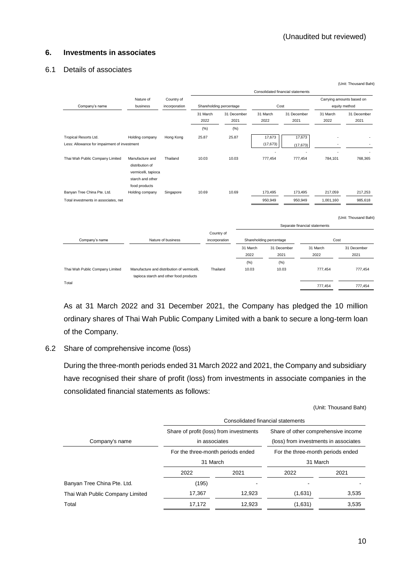### **6. Investments in associates**

#### 6.1 Details of associates

|                                              |                                                           |                                                                                       |          |                         |          |                         |                                   |           | (Unit: Thousand Baht)     |
|----------------------------------------------|-----------------------------------------------------------|---------------------------------------------------------------------------------------|----------|-------------------------|----------|-------------------------|-----------------------------------|-----------|---------------------------|
|                                              |                                                           |                                                                                       |          |                         |          |                         | Consolidated financial statements |           |                           |
|                                              | Nature of                                                 | Country of                                                                            |          |                         |          |                         |                                   |           | Carrying amounts based on |
| Company's name                               | business                                                  | incorporation                                                                         |          | Shareholding percentage |          | Cost                    |                                   |           | equity method             |
|                                              |                                                           |                                                                                       | 31 March | 31 December             |          | 31 March                | 31 December                       | 31 March  | 31 December               |
|                                              |                                                           |                                                                                       | 2022     | 2021                    |          | 2022                    | 2021                              | 2022      | 2021                      |
|                                              |                                                           |                                                                                       | (%)      | (%)                     |          |                         |                                   |           |                           |
| Tropical Resorts Ltd.                        | Holding company                                           | Hong Kong                                                                             | 25.87    | 25.87                   |          | 17,673                  | 17,673                            |           |                           |
| Less: Allowance for impairment of investment |                                                           |                                                                                       |          |                         |          | (17, 673)               | (17, 673)                         |           |                           |
|                                              |                                                           |                                                                                       |          |                         |          |                         |                                   |           |                           |
| Thai Wah Public Company Limited              | Manufacture and<br>distribution of<br>vermicelli, tapioca | Thailand                                                                              | 10.03    | 10.03                   |          | 777,454                 | 777,454                           | 784,101   | 768,365                   |
|                                              | starch and other                                          |                                                                                       |          |                         |          |                         |                                   |           |                           |
|                                              | food products                                             |                                                                                       |          |                         |          |                         |                                   |           |                           |
| Banyan Tree China Pte. Ltd.                  | Holding company                                           | Singapore                                                                             | 10.69    | 10.69                   |          | 173,495                 | 173,495                           | 217,059   | 217,253                   |
| Total investments in associates, net         |                                                           |                                                                                       |          |                         |          | 950,949                 | 950,949                           | 1,001,160 | 985,618                   |
|                                              |                                                           |                                                                                       |          |                         |          |                         |                                   |           | (Unit: Thousand Baht)     |
|                                              |                                                           |                                                                                       |          |                         |          |                         | Separate financial statements     |           |                           |
|                                              |                                                           |                                                                                       |          | Country of              |          |                         |                                   |           |                           |
| Company's name                               |                                                           | Nature of business                                                                    |          | incorporation           |          | Shareholding percentage |                                   | Cost      |                           |
|                                              |                                                           |                                                                                       |          |                         | 31 March | 31 December             |                                   | 31 March  | 31 December               |
|                                              |                                                           |                                                                                       |          |                         | 2022     | 2021                    |                                   | 2022      | 2021                      |
|                                              |                                                           |                                                                                       |          |                         | (% )     | (% )                    |                                   |           |                           |
| Thai Wah Public Company Limited              |                                                           | Manufacture and distribution of vermicelli,<br>tapioca starch and other food products |          | Thailand                | 10.03    | 10.03                   |                                   | 777,454   | 777,454                   |
| Total                                        |                                                           |                                                                                       |          |                         |          |                         |                                   | 777,454   | 777,454                   |

As at 31 March 2022 and 31 December 2021, the Company has pledged the 10 million ordinary shares of Thai Wah Public Company Limited with a bank to secure a long-term loan of the Company.

#### 6.2 Share of comprehensive income (loss)

 During the three-month periods ended 31 March 2022 and 2021, the Company and subsidiary have recognised their share of profit (loss) from investments in associate companies in the consolidated financial statements as follows:

|                                 | Consolidated financial statements       |        |                                       |       |  |  |
|---------------------------------|-----------------------------------------|--------|---------------------------------------|-------|--|--|
|                                 | Share of profit (loss) from investments |        | Share of other comprehensive income   |       |  |  |
| Company's name                  | in associates                           |        | (loss) from investments in associates |       |  |  |
|                                 | For the three-month periods ended       |        | For the three-month periods ended     |       |  |  |
|                                 | 31 March                                |        | 31 March                              |       |  |  |
|                                 | 2022                                    | 2021   | 2022                                  | 2021  |  |  |
| Banyan Tree China Pte. Ltd.     | (195)                                   |        |                                       |       |  |  |
| Thai Wah Public Company Limited | 17,367                                  | 12,923 | (1,631)                               | 3,535 |  |  |
| Total                           | 17.172                                  | 12.923 | (1,631)                               | 3.535 |  |  |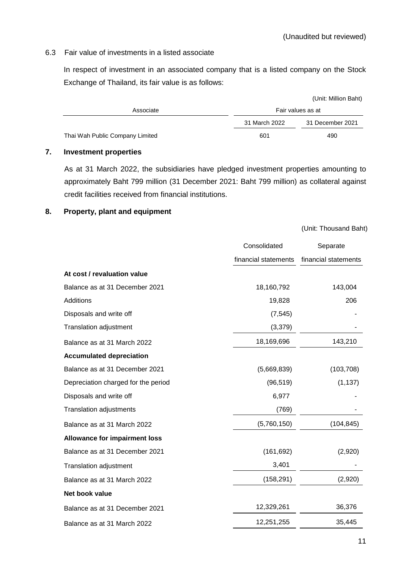### 6.3 Fair value of investments in a listed associate

In respect of investment in an associated company that is a listed company on the Stock Exchange of Thailand, its fair value is as follows:

|                                 |                   | (Unit: Million Baht) |  |  |
|---------------------------------|-------------------|----------------------|--|--|
| Associate                       | Fair values as at |                      |  |  |
|                                 | 31 March 2022     | 31 December 2021     |  |  |
| Thai Wah Public Company Limited | 601               | 490                  |  |  |

### **7. Investment properties**

As at 31 March 2022, the subsidiaries have pledged investment properties amounting to approximately Baht 799 million (31 December 2021: Baht 799 million) as collateral against credit facilities received from financial institutions.

# **8. Property, plant and equipment**

|                                      | Consolidated         | Separate             |  |
|--------------------------------------|----------------------|----------------------|--|
|                                      | financial statements | financial statements |  |
| At cost / revaluation value          |                      |                      |  |
| Balance as at 31 December 2021       | 18,160,792           | 143,004              |  |
| Additions                            | 19,828               | 206                  |  |
| Disposals and write off              | (7, 545)             |                      |  |
| <b>Translation adjustment</b>        | (3, 379)             |                      |  |
| Balance as at 31 March 2022          | 18,169,696           | 143,210              |  |
| <b>Accumulated depreciation</b>      |                      |                      |  |
| Balance as at 31 December 2021       | (5,669,839)          | (103, 708)           |  |
| Depreciation charged for the period  | (96, 519)            | (1, 137)             |  |
| Disposals and write off              | 6,977                |                      |  |
| <b>Translation adjustments</b>       | (769)                |                      |  |
| Balance as at 31 March 2022          | (5,760,150)          | (104, 845)           |  |
| <b>Allowance for impairment loss</b> |                      |                      |  |
| Balance as at 31 December 2021       | (161, 692)           | (2,920)              |  |
| <b>Translation adjustment</b>        | 3,401                |                      |  |
| Balance as at 31 March 2022          | (158, 291)           | (2,920)              |  |
| Net book value                       |                      |                      |  |
| Balance as at 31 December 2021       | 12,329,261           | 36,376               |  |
| Balance as at 31 March 2022          | 12,251,255           | 35,445               |  |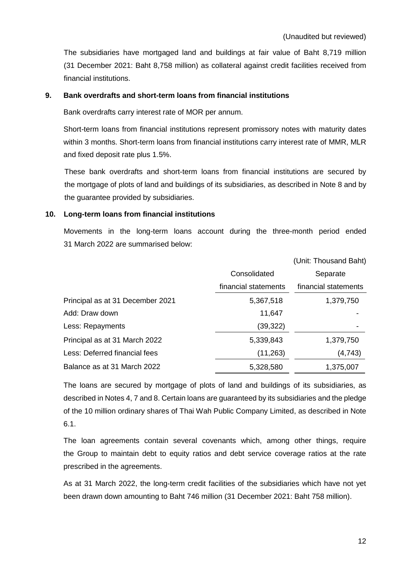The subsidiaries have mortgaged land and buildings at fair value of Baht 8,719 million (31 December 2021: Baht 8,758 million) as collateral against credit facilities received from financial institutions.

#### **9. Bank overdrafts and short-term loans from financial institutions**

Bank overdrafts carry interest rate of MOR per annum.

Short-term loans from financial institutions represent promissory notes with maturity dates within 3 months. Short-term loans from financial institutions carry interest rate of MMR, MLR and fixed deposit rate plus 1.5%.

These bank overdrafts and short-term loans from financial institutions are secured by the mortgage of plots of land and buildings of its subsidiaries, as described in Note 8 and by the guarantee provided by subsidiaries.

#### **10. Long-term loans from financial institutions**

Movements in the long-term loans account during the three-month period ended 31 March 2022 are summarised below:

|                                  |                      | (Unit: Thousand Baht) |
|----------------------------------|----------------------|-----------------------|
|                                  | Consolidated         | Separate              |
|                                  | financial statements | financial statements  |
| Principal as at 31 December 2021 | 5,367,518            | 1,379,750             |
| Add: Draw down                   | 11,647               |                       |
| Less: Repayments                 | (39, 322)            |                       |
| Principal as at 31 March 2022    | 5,339,843            | 1,379,750             |
| Less: Deferred financial fees    | (11, 263)            | (4, 743)              |
| Balance as at 31 March 2022      | 5,328,580            | 1,375,007             |

The loans are secured by mortgage of plots of land and buildings of its subsidiaries, as described in Notes 4, 7 and 8. Certain loans are guaranteed by its subsidiaries and the pledge of the 10 million ordinary shares of Thai Wah Public Company Limited, as described in Note 6.1.

The loan agreements contain several covenants which, among other things, require the Group to maintain debt to equity ratios and debt service coverage ratios at the rate prescribed in the agreements.

As at 31 March 2022, the long-term credit facilities of the subsidiaries which have not yet been drawn down amounting to Baht 746 million (31 December 2021: Baht 758 million).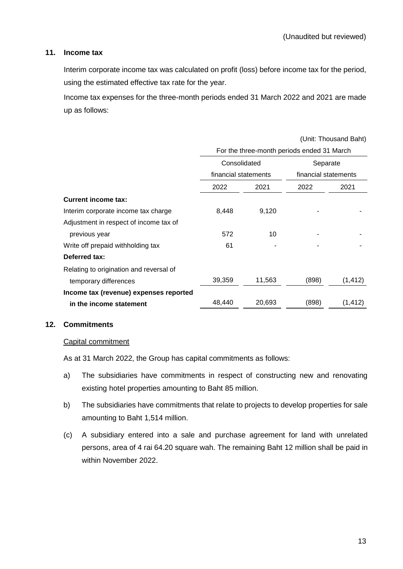### **11. Income tax**

Interim corporate income tax was calculated on profit (loss) before income tax for the period, using the estimated effective tax rate for the year.

Income tax expenses for the three-month periods ended 31 March 2022 and 2021 are made up as follows:

|                                         | (Unit: Thousand Baht)                      |        |                      |          |  |
|-----------------------------------------|--------------------------------------------|--------|----------------------|----------|--|
|                                         | For the three-month periods ended 31 March |        |                      |          |  |
|                                         | Consolidated                               |        | Separate             |          |  |
|                                         | financial statements<br>2022<br>2021       |        | financial statements |          |  |
|                                         |                                            |        | 2022<br>2021         |          |  |
| <b>Current income tax:</b>              |                                            |        |                      |          |  |
| Interim corporate income tax charge     | 8,448                                      | 9,120  |                      |          |  |
| Adjustment in respect of income tax of  |                                            |        |                      |          |  |
| previous year                           | 572                                        | 10     |                      |          |  |
| Write off prepaid withholding tax       | 61                                         |        |                      |          |  |
| Deferred tax:                           |                                            |        |                      |          |  |
| Relating to origination and reversal of |                                            |        |                      |          |  |
| temporary differences                   | 39,359                                     | 11,563 | (898)                | (1, 412) |  |
| Income tax (revenue) expenses reported  |                                            |        |                      |          |  |
| in the income statement                 | 48,440                                     | 20,693 | (898)                | (1, 412) |  |

### **12. Commitments**

### Capital commitment

As at 31 March 2022, the Group has capital commitments as follows:

- a) The subsidiaries have commitments in respect of constructing new and renovating existing hotel properties amounting to Baht 85 million.
- b) The subsidiaries have commitments that relate to projects to develop properties for sale amounting to Baht 1,514 million.
- (c) A subsidiary entered into a sale and purchase agreement for land with unrelated persons, area of 4 rai 64.20 square wah. The remaining Baht 12 million shall be paid in within November 2022.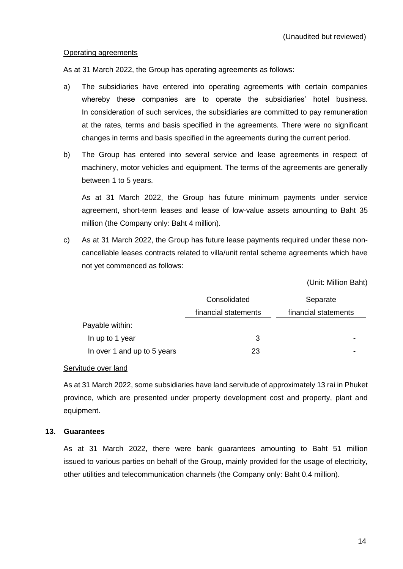#### Operating agreements

As at 31 March 2022, the Group has operating agreements as follows:

- a) The subsidiaries have entered into operating agreements with certain companies whereby these companies are to operate the subsidiaries' hotel business. In consideration of such services, the subsidiaries are committed to pay remuneration at the rates, terms and basis specified in the agreements. There were no significant changes in terms and basis specified in the agreements during the current period.
- b) The Group has entered into several service and lease agreements in respect of machinery, motor vehicles and equipment. The terms of the agreements are generally between 1 to 5 years.

As at 31 March 2022, the Group has future minimum payments under service agreement, short-term leases and lease of low-value assets amounting to Baht 35 million (the Company only: Baht 4 million).

c) As at 31 March 2022, the Group has future lease payments required under these noncancellable leases contracts related to villa/unit rental scheme agreements which have not yet commenced as follows:

(Unit: Million Baht)

|                             | Consolidated         | Separate             |
|-----------------------------|----------------------|----------------------|
|                             | financial statements | financial statements |
| Payable within:             |                      |                      |
| In up to 1 year             | 3                    |                      |
| In over 1 and up to 5 years | 23                   |                      |

#### Servitude over land

As at 31 March 2022, some subsidiaries have land servitude of approximately 13 rai in Phuket province, which are presented under property development cost and property, plant and equipment.

### **13. Guarantees**

As at 31 March 2022, there were bank guarantees amounting to Baht 51 million issued to various parties on behalf of the Group, mainly provided for the usage of electricity, other utilities and telecommunication channels (the Company only: Baht 0.4 million).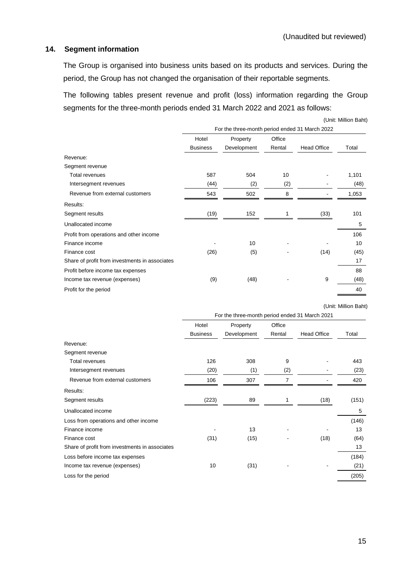# **14. Segment information**

The Group is organised into business units based on its products and services. During the period, the Group has not changed the organisation of their reportable segments.

The following tables present revenue and profit (loss) information regarding the Group segments for the three-month periods ended 31 March 2022 and 2021 as follows:

| (Unit: Million Baht) |  |  |
|----------------------|--|--|
|----------------------|--|--|

|                                                | For the three-month period ended 31 March 2022 |             |        |                    |       |
|------------------------------------------------|------------------------------------------------|-------------|--------|--------------------|-------|
|                                                | Hotel                                          | Property    | Office |                    |       |
|                                                | <b>Business</b>                                | Development | Rental | <b>Head Office</b> | Total |
| Revenue:                                       |                                                |             |        |                    |       |
| Segment revenue                                |                                                |             |        |                    |       |
| <b>Total revenues</b>                          | 587                                            | 504         | 10     |                    | 1,101 |
| Intersegment revenues                          | (44)                                           | (2)         | (2)    |                    | (48)  |
| Revenue from external customers                | 543                                            | 502         | 8      |                    | 1,053 |
| Results:                                       |                                                |             |        |                    |       |
| Segment results                                | (19)                                           | 152         |        | (33)               | 101   |
| Unallocated income                             |                                                |             |        |                    | 5     |
| Profit from operations and other income        |                                                |             |        |                    | 106   |
| Finance income                                 |                                                | 10          |        |                    | 10    |
| Finance cost                                   | (26)                                           | (5)         |        | (14)               | (45)  |
| Share of profit from investments in associates |                                                |             |        |                    | 17    |
| Profit before income tax expenses              |                                                |             |        |                    | 88    |
| Income tax revenue (expenses)                  | (9)                                            | (48)        |        | 9                  | (48)  |
| Profit for the period                          |                                                |             |        |                    | 40    |

(Unit: Million Baht)

|                                                | For the three-month period ended 31 March 2021 |             |                |                    |       |
|------------------------------------------------|------------------------------------------------|-------------|----------------|--------------------|-------|
|                                                | Hotel                                          | Property    | Office         |                    |       |
|                                                | <b>Business</b>                                | Development | Rental         | <b>Head Office</b> | Total |
| Revenue:                                       |                                                |             |                |                    |       |
| Segment revenue                                |                                                |             |                |                    |       |
| <b>Total revenues</b>                          | 126                                            | 308         | 9              |                    | 443   |
| Intersegment revenues                          | (20)                                           | (1)         | (2)            |                    | (23)  |
| Revenue from external customers                | 106                                            | 307         | $\overline{7}$ |                    | 420   |
| Results:                                       |                                                |             |                |                    |       |
| Segment results                                | (223)                                          | 89          |                | (18)               | (151) |
| Unallocated income                             |                                                |             |                |                    | 5     |
| Loss from operations and other income          |                                                |             |                |                    | (146) |
| Finance income                                 |                                                | 13          |                |                    | 13    |
| Finance cost                                   | (31)                                           | (15)        |                | (18)               | (64)  |
| Share of profit from investments in associates |                                                |             |                |                    | 13    |
| Loss before income tax expenses                |                                                |             |                |                    | (184) |
| Income tax revenue (expenses)                  | 10                                             | (31)        |                |                    | (21)  |
| Loss for the period                            |                                                |             |                |                    | (205) |